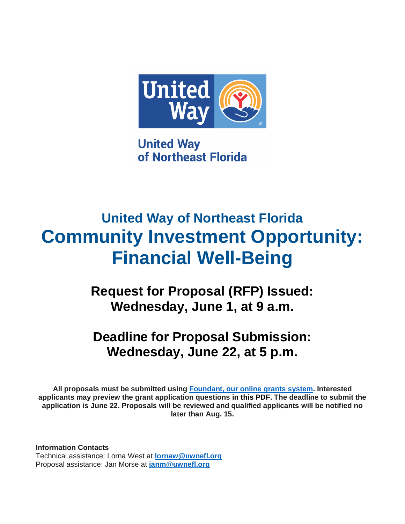

**United Way** of Northeast Florida

# **United Way of Northeast Florida Community Investment Opportunity: Financial Well-Being**

**Request for Proposal (RFP) Issued: Wednesday, June 1, at 9 a.m.**

## **Deadline for Proposal Submission: Wednesday, June 22, at 5 p.m.**

**All proposals must be submitted using [Foundant, our online grants system.](https://www.grantinterface.com/Home/Logon?urlkey=horizon) Interested applicants may preview the grant application questions in this PDF. The deadline to submit the application is June 22. Proposals will be reviewed and qualified applicants will be notified no later than Aug. 15.**

**Information Contacts** Technical assistance: Lorna West at **[lornaw@uwnefl.org](mailto:lornaw@uwnefl.org)** Proposal assistance: Jan Morse at **[janm@uwnefl.org](mailto:janm@uwnefl.org)**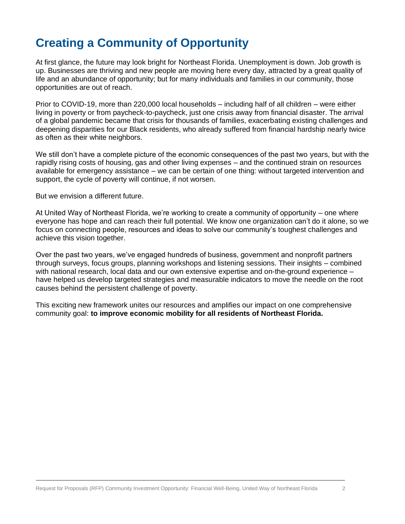## **Creating a Community of Opportunity**

At first glance, the future may look bright for Northeast Florida. Unemployment is down. Job growth is up. Businesses are thriving and new people are moving here every day, attracted by a great quality of life and an abundance of opportunity; but for many individuals and families in our community, those opportunities are out of reach.

Prior to COVID-19, more than 220,000 local households – including half of all children – were either living in poverty or from paycheck-to-paycheck, just one crisis away from financial disaster. The arrival of a global pandemic became that crisis for thousands of families, exacerbating existing challenges and deepening disparities for our Black residents, who already suffered from financial hardship nearly twice as often as their white neighbors.

We still don't have a complete picture of the economic consequences of the past two years, but with the rapidly rising costs of housing, gas and other living expenses – and the continued strain on resources available for emergency assistance – we can be certain of one thing: without targeted intervention and support, the cycle of poverty will continue, if not worsen.

But we envision a different future.

At United Way of Northeast Florida, we're working to create a community of opportunity – one where everyone has hope and can reach their full potential. We know one organization can't do it alone, so we focus on connecting people, resources and ideas to solve our community's toughest challenges and achieve this vision together.

Over the past two years, we've engaged hundreds of business, government and nonprofit partners through surveys, focus groups, planning workshops and listening sessions. Their insights – combined with national research, local data and our own extensive expertise and on-the-ground experience – have helped us develop targeted strategies and measurable indicators to move the needle on the root causes behind the persistent challenge of poverty.

This exciting new framework unites our resources and amplifies our impact on one comprehensive community goal: **to improve economic mobility for all residents of Northeast Florida.**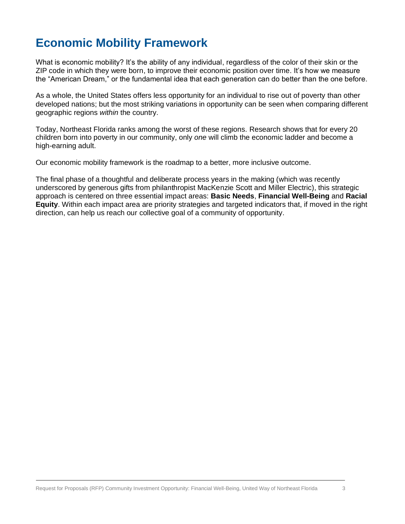## **Economic Mobility Framework**

What is economic mobility? It's the ability of any individual, regardless of the color of their skin or the ZIP code in which they were born, to improve their economic position over time. It's how we measure the "American Dream," or the fundamental idea that each generation can do better than the one before.

As a whole, the United States offers less opportunity for an individual to rise out of poverty than other developed nations; but the most striking variations in opportunity can be seen when comparing different geographic regions *within* the country.

Today, Northeast Florida ranks among the worst of these regions. Research shows that for every 20 children born into poverty in our community, only *one* will climb the economic ladder and become a high-earning adult.

Our economic mobility framework is the roadmap to a better, more inclusive outcome.

The final phase of a thoughtful and deliberate process years in the making (which was recently underscored by generous gifts from philanthropist MacKenzie Scott and Miller Electric), this strategic approach is centered on three essential impact areas: **Basic Needs**, **Financial Well-Being** and **Racial Equity**. Within each impact area are priority strategies and targeted indicators that, if moved in the right direction, can help us reach our collective goal of a community of opportunity.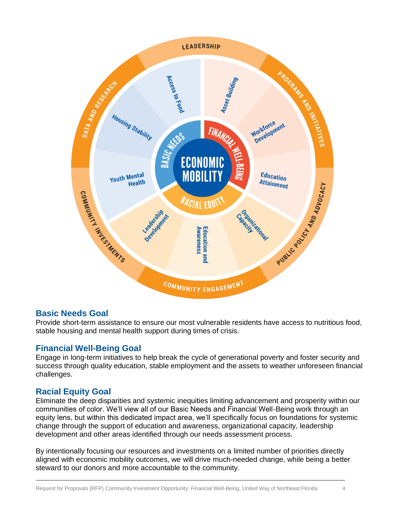

### **Basic Needs Goal**

Provide short-term assistance to ensure our most vulnerable residents have access to nutritious food, stable housing and mental health support during times of crisis.

### **Financial Well-Being Goal**

Engage in long-term initiatives to help break the cycle of generational poverty and foster security and success through quality education, stable employment and the assets to weather unforeseen financial challenges.

### **Racial Equity Goal**

Eliminate the deep disparities and systemic inequities limiting advancement and prosperity within our communities of color. We'll view all of our Basic Needs and Financial Well-Being work through an equity lens, but within this dedicated impact area, we'll specifically focus on foundations for systemic change through the support of education and awareness, organizational capacity, leadership development and other areas identified through our needs assessment process.

By intentionally focusing our resources and investments on a limited number of priorities directly aligned with economic mobility outcomes, we will drive much-needed change, while being a better steward to our donors and more accountable to the community.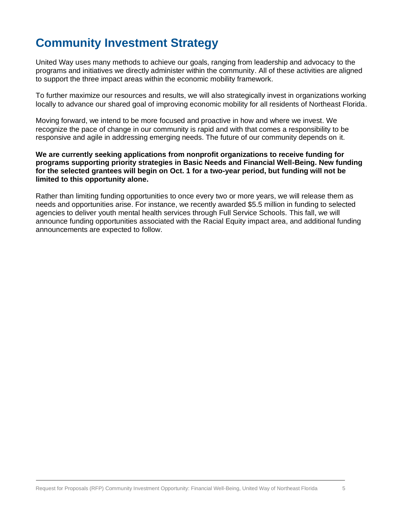## **Community Investment Strategy**

United Way uses many methods to achieve our goals, ranging from leadership and advocacy to the programs and initiatives we directly administer within the community. All of these activities are aligned to support the three impact areas within the economic mobility framework.

To further maximize our resources and results, we will also strategically invest in organizations working locally to advance our shared goal of improving economic mobility for all residents of Northeast Florida.

Moving forward, we intend to be more focused and proactive in how and where we invest. We recognize the pace of change in our community is rapid and with that comes a responsibility to be responsive and agile in addressing emerging needs. The future of our community depends on it.

#### **We are currently seeking applications from nonprofit organizations to receive funding for programs supporting priority strategies in Basic Needs and Financial Well-Being. New funding for the selected grantees will begin on Oct. 1 for a two-year period, but funding will not be limited to this opportunity alone.**

Rather than limiting funding opportunities to once every two or more years, we will release them as needs and opportunities arise. For instance, we recently awarded \$5.5 million in funding to selected agencies to deliver youth mental health services through Full Service Schools. This fall, we will announce funding opportunities associated with the Racial Equity impact area, and additional funding announcements are expected to follow.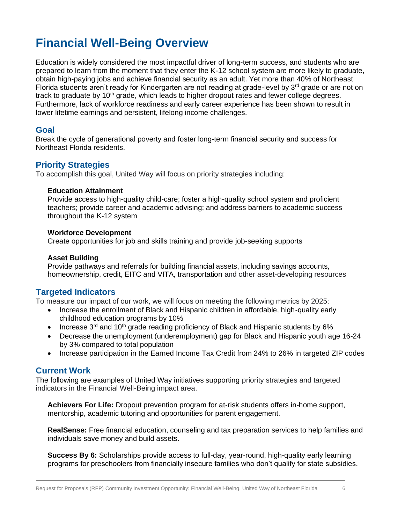## **Financial Well-Being Overview**

Education is widely considered the most impactful driver of long-term success, and students who are prepared to learn from the moment that they enter the K-12 school system are more likely to graduate, obtain high-paying jobs and achieve financial security as an adult. Yet more than 40% of Northeast Florida students aren't ready for Kindergarten are not reading at grade-level by 3<sup>rd</sup> grade or are not on track to graduate by  $10<sup>th</sup>$  grade, which leads to higher dropout rates and fewer college degrees. Furthermore, lack of workforce readiness and early career experience has been shown to result in lower lifetime earnings and persistent, lifelong income challenges.

#### **Goal**

Break the cycle of generational poverty and foster long-term financial security and success for Northeast Florida residents.

#### **Priority Strategies**

To accomplish this goal, United Way will focus on priority strategies including:

#### **Education Attainment**

Provide access to high-quality child-care; foster a high-quality school system and proficient teachers; provide career and academic advising; and address barriers to academic success throughout the K-12 system

#### **Workforce Development**

Create opportunities for job and skills training and provide job-seeking supports

#### **Asset Building**

Provide pathways and referrals for building financial assets, including savings accounts, homeownership, credit, EITC and VITA, transportation and other asset-developing resources

### **Targeted Indicators**

To measure our impact of our work, we will focus on meeting the following metrics by 2025:

- Increase the enrollment of Black and Hispanic children in affordable, high-quality early childhood education programs by 10%
- Increase  $3^{rd}$  and  $10^{th}$  grade reading proficiency of Black and Hispanic students by 6%
- Decrease the unemployment (underemployment) gap for Black and Hispanic youth age 16-24 by 3% compared to total population
- Increase participation in the Earned Income Tax Credit from 24% to 26% in targeted ZIP codes

#### **Current Work**

The following are examples of United Way initiatives supporting priority strategies and targeted indicators in the Financial Well-Being impact area.

**Achievers For Life:** Dropout prevention program for at-risk students offers in-home support, mentorship, academic tutoring and opportunities for parent engagement.

**RealSense:** Free financial education, counseling and tax preparation services to help families and individuals save money and build assets.

**Success By 6:** Scholarships provide access to full-day, year-round, high-quality early learning programs for preschoolers from financially insecure families who don't qualify for state subsidies.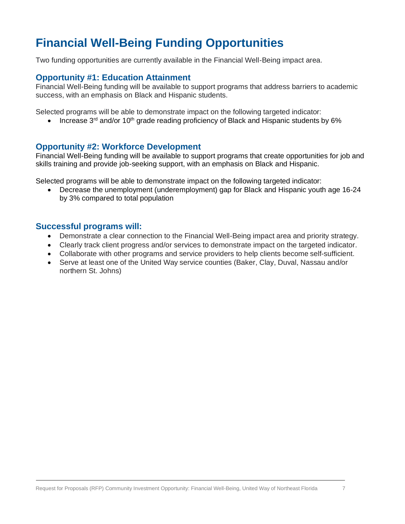## **Financial Well-Being Funding Opportunities**

Two funding opportunities are currently available in the Financial Well-Being impact area.

#### **Opportunity #1: Education Attainment**

Financial Well-Being funding will be available to support programs that address barriers to academic success, with an emphasis on Black and Hispanic students.

Selected programs will be able to demonstrate impact on the following targeted indicator:

• Increase  $3<sup>rd</sup>$  and/or 10<sup>th</sup> grade reading proficiency of Black and Hispanic students by 6%

#### **Opportunity #2: Workforce Development**

Financial Well-Being funding will be available to support programs that create opportunities for job and skills training and provide job-seeking support, with an emphasis on Black and Hispanic.

Selected programs will be able to demonstrate impact on the following targeted indicator:

• Decrease the unemployment (underemployment) gap for Black and Hispanic youth age 16-24 by 3% compared to total population

#### **Successful programs will:**

- Demonstrate a clear connection to the Financial Well-Being impact area and priority strategy.
- Clearly track client progress and/or services to demonstrate impact on the targeted indicator.
- Collaborate with other programs and service providers to help clients become self-sufficient.
- Serve at least one of the United Way service counties (Baker, Clay, Duval, Nassau and/or northern St. Johns)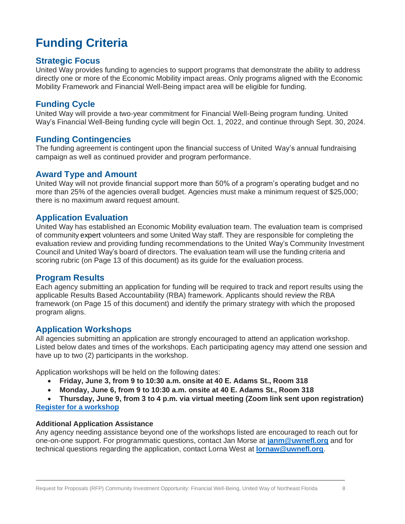## **Funding Criteria**

#### **Strategic Focus**

United Way provides funding to agencies to support programs that demonstrate the ability to address directly one or more of the Economic Mobility impact areas. Only programs aligned with the Economic Mobility Framework and Financial Well-Being impact area will be eligible for funding.

### **Funding Cycle**

United Way will provide a two-year commitment for Financial Well-Being program funding. United Way's Financial Well-Being funding cycle will begin Oct. 1, 2022, and continue through Sept. 30, 2024.

### **Funding Contingencies**

The funding agreement is contingent upon the financial success of United Way's annual fundraising campaign as well as continued provider and program performance.

#### **Award Type and Amount**

United Way will not provide financial support more than 50% of a program's operating budget and no more than 25% of the agencies overall budget. Agencies must make a minimum request of \$25,000; there is no maximum award request amount.

#### **Application Evaluation**

United Way has established an Economic Mobility evaluation team. The evaluation team is comprised of community expert volunteers and some United Way staff. They are responsible for completing the evaluation review and providing funding recommendations to the United Way's Community Investment Council and United Way's board of directors. The evaluation team will use the funding criteria and scoring rubric (on Page 13 of this document) as its guide for the evaluation process.

### **Program Results**

Each agency submitting an application for funding will be required to track and report results using the applicable Results Based Accountability (RBA) framework. Applicants should review the RBA framework (on Page 15 of this document) and identify the primary strategy with which the proposed program aligns.

### **Application Workshops**

All agencies submitting an application are strongly encouraged to attend an application workshop. Listed below dates and times of the workshops. Each participating agency may attend one session and have up to two (2) participants in the workshop.

Application workshops will be held on the following dates:

- **Friday, June 3, from 9 to 10:30 a.m. onsite at 40 E. Adams St., Room 318**
- **Monday, June 6, from 9 to 10:30 a.m. onsite at 40 E. Adams St., Room 318**

• **Thursday, June 9, from 3 to 4 p.m. via virtual meeting (Zoom link sent upon registration) [Register for a workshop](https://uwneflrfpworkshop22.paperform.co/)**

#### **Additional Application Assistance**

Any agency needing assistance beyond one of the workshops listed are encouraged to reach out for one-on-one support. For programmatic questions, contact Jan Morse at **[janm@uwnefl.org](mailto:janm@uwnefl.org)** and for technical questions regarding the application, contact Lorna West at **[lornaw@uwnefl.org](mailto:lornaw@uwnefl.org)**.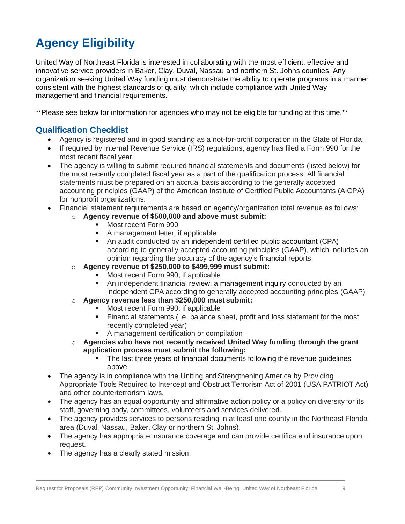## **Agency Eligibility**

United Way of Northeast Florida is interested in collaborating with the most efficient, effective and innovative service providers in Baker, Clay, Duval, Nassau and northern St. Johns counties. Any organization seeking United Way funding must demonstrate the ability to operate programs in a manner consistent with the highest standards of quality, which include compliance with United Way management and financial requirements.

\*\*Please see below for information for agencies who may not be eligible for funding at this time.\*\*

### **Qualification Checklist**

- Agency is registered and in good standing as a not-for-profit corporation in the State of Florida.
- If required by Internal Revenue Service (IRS) regulations, agency has filed a Form 990 for the most recent fiscal year.
- The agency is willing to submit required financial statements and documents (listed below) for the most recently completed fiscal year as a part of the qualification process. All financial statements must be prepared on an accrual basis according to the generally accepted accounting principles (GAAP) of the American Institute of Certified Public Accountants (AICPA) for nonprofit organizations.
- Financial statement requirements are based on agency/organization total revenue as follows:
	- o **Agency revenue of \$500,000 and above must submit:**
		- Most recent Form 990
		- A management letter, if applicable
		- An audit conducted by an independent certified public accountant (CPA) according to generally accepted accounting principles (GAAP), which includes an opinion regarding the accuracy of the agency's financial reports.
	- o **Agency revenue of \$250,000 to \$499,999 must submit:**
		- Most recent Form 990, if applicable
		- An independent financial review: a management inquiry conducted by an independent CPA according to generally accepted accounting principles (GAAP)
	- o **Agency revenue less than \$250,000 must submit:**
		- Most recent Form 990, if applicable
		- **EXECT** Financial statements (i.e. balance sheet, profit and loss statement for the most recently completed year)
		- A management certification or compilation
	- o **Agencies who have not recently received United Way funding through the grant application process must submit the following:**
		- The last three years of financial documents following the revenue guidelines above
- The agency is in compliance with the Uniting and Strengthening America by Providing Appropriate Tools Required to Intercept and Obstruct Terrorism Act of 2001 (USA PATRIOT Act) and other counterterrorism laws.
- The agency has an equal opportunity and affirmative action policy or a policy on diversity for its staff, governing body, committees, volunteers and services delivered.
- The agency provides services to persons residing in at least one county in the Northeast Florida area (Duval, Nassau, Baker, Clay or northern St. Johns).
- The agency has appropriate insurance coverage and can provide certificate of insurance upon request.
- The agency has a clearly stated mission.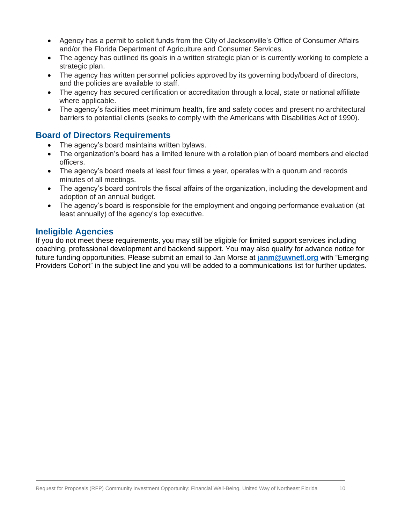- Agency has a permit to solicit funds from the City of Jacksonville's Office of Consumer Affairs and/or the Florida Department of Agriculture and Consumer Services.
- The agency has outlined its goals in a written strategic plan or is currently working to complete a strategic plan.
- The agency has written personnel policies approved by its governing body/board of directors, and the policies are available to staff.
- The agency has secured certification or accreditation through a local, state or national affiliate where applicable.
- The agency's facilities meet minimum health, fire and safety codes and present no architectural barriers to potential clients (seeks to comply with the Americans with Disabilities Act of 1990).

### **Board of Directors Requirements**

- The agency's board maintains written bylaws.
- The organization's board has a limited tenure with a rotation plan of board members and elected officers.
- The agency's board meets at least four times a year, operates with a quorum and records minutes of all meetings.
- The agency's board controls the fiscal affairs of the organization, including the development and adoption of an annual budget.
- The agency's board is responsible for the employment and ongoing performance evaluation (at least annually) of the agency's top executive.

### **Ineligible Agencies**

If you do not meet these requirements, you may still be eligible for limited support services including coaching, professional development and backend support. You may also qualify for advance notice for future funding opportunities. Please submit an email to Jan Morse at **[janm@uwnefl.org](mailto:janm@uwnefl.org)** with "Emerging Providers Cohort" in the subject line and you will be added to a communications list for further updates.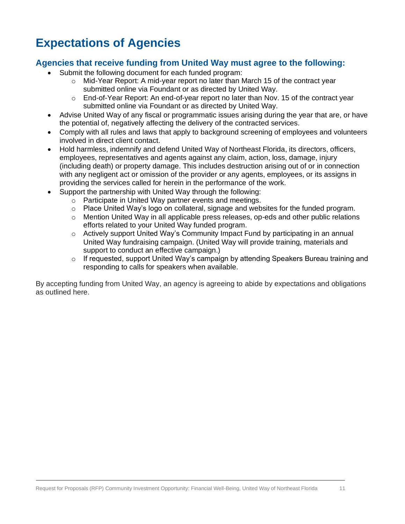## **Expectations of Agencies**

### **Agencies that receive funding from United Way must agree to the following:**

- Submit the following document for each funded program:
	- $\circ$  Mid-Year Report: A mid-year report no later than March 15 of the contract year submitted online via Foundant or as directed by United Way.
	- $\circ$  End-of-Year Report: An end-of-year report no later than Nov. 15 of the contract year submitted online via Foundant or as directed by United Way.
- Advise United Way of any fiscal or programmatic issues arising during the year that are, or have the potential of, negatively affecting the delivery of the contracted services.
- Comply with all rules and laws that apply to background screening of employees and volunteers involved in direct client contact.
- Hold harmless, indemnify and defend United Way of Northeast Florida, its directors, officers, employees, representatives and agents against any claim, action, loss, damage, injury (including death) or property damage. This includes destruction arising out of or in connection with any negligent act or omission of the provider or any agents, employees, or its assigns in providing the services called for herein in the performance of the work.
- Support the partnership with United Way through the following:
	- o Participate in United Way partner events and meetings.
	- $\circ$  Place United Way's logo on collateral, signage and websites for the funded program.
	- $\circ$  Mention United Way in all applicable press releases, op-eds and other public relations efforts related to your United Way funded program.
	- o Actively support United Way's Community Impact Fund by participating in an annual United Way fundraising campaign. (United Way will provide training, materials and support to conduct an effective campaign.)
	- o If requested, support United Way's campaign by attending Speakers Bureau training and responding to calls for speakers when available.

By accepting funding from United Way, an agency is agreeing to abide by expectations and obligations as outlined here.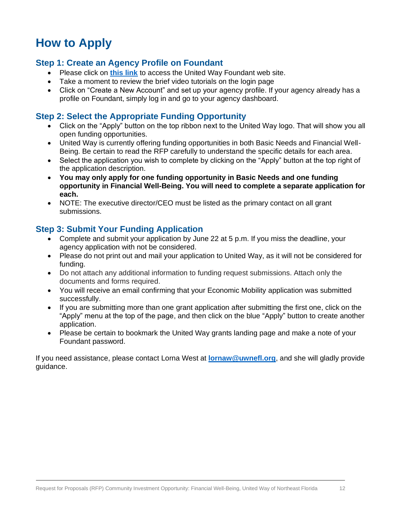## **How to Apply**

#### **Step 1: Create an Agency Profile on Foundant**

- Please click on **[this link](https://www.grantinterface.com/Home/Logon?urlkey=uwnefl)** to access the United Way Foundant web site.
- Take a moment to review the brief video tutorials on the login page
- Click on "Create a New Account" and set up your agency profile. If your agency already has a profile on Foundant, simply log in and go to your agency dashboard.

#### **Step 2: Select the Appropriate Funding Opportunity**

- Click on the "Apply" button on the top ribbon next to the United Way logo. That will show you all open funding opportunities.
- United Way is currently offering funding opportunities in both Basic Needs and Financial Well-Being. Be certain to read the RFP carefully to understand the specific details for each area.
- Select the application you wish to complete by clicking on the "Apply" button at the top right of the application description.
- **You may only apply for one funding opportunity in Basic Needs and one funding opportunity in Financial Well-Being. You will need to complete a separate application for each.**
- NOTE: The executive director/CEO must be listed as the primary contact on all grant submissions.

### **Step 3: Submit Your Funding Application**

- Complete and submit your application by June 22 at 5 p.m. If you miss the deadline, your agency application with not be considered.
- Please do not print out and mail your application to United Way, as it will not be considered for funding.
- Do not attach any additional information to funding request submissions. Attach only the documents and forms required.
- You will receive an email confirming that your Economic Mobility application was submitted successfully.
- If you are submitting more than one grant application after submitting the first one, click on the "Apply" menu at the top of the page, and then click on the blue "Apply" button to create another application.
- Please be certain to bookmark the United Way grants landing page and make a note of your Foundant password.

If you need assistance, please contact Lorna West at **[lornaw@uwnefl.org](mailto:lornaw@uwnefl.org)**, and she will gladly provide guidance.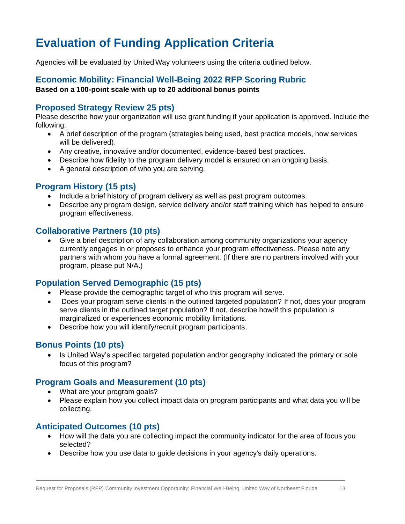## **Evaluation of Funding Application Criteria**

Agencies will be evaluated by United Way volunteers using the criteria outlined below.

#### **Economic Mobility: Financial Well-Being 2022 RFP Scoring Rubric Based on a 100-point scale with up to 20 additional bonus points**

### **Proposed Strategy Review 25 pts)**

Please describe how your organization will use grant funding if your application is approved. Include the following:

- A brief description of the program (strategies being used, best practice models, how services will be delivered).
- Any creative, innovative and/or documented, evidence-based best practices.
- Describe how fidelity to the program delivery model is ensured on an ongoing basis.
- A general description of who you are serving.

### **Program History (15 pts)**

- Include a brief history of program delivery as well as past program outcomes.
- Describe any program design, service delivery and/or staff training which has helped to ensure program effectiveness.

### **Collaborative Partners (10 pts)**

• Give a brief description of any collaboration among community organizations your agency currently engages in or proposes to enhance your program effectiveness. Please note any partners with whom you have a formal agreement. (If there are no partners involved with your program, please put N/A.)

### **Population Served Demographic (15 pts)**

- Please provide the demographic target of who this program will serve.
- Does your program serve clients in the outlined targeted population? If not, does your program serve clients in the outlined target population? If not, describe how/if this population is marginalized or experiences economic mobility limitations.
- Describe how you will identify/recruit program participants.

### **Bonus Points (10 pts)**

• Is United Way's specified targeted population and/or geography indicated the primary or sole focus of this program?

### **Program Goals and Measurement (10 pts)**

- What are your program goals?
- Please explain how you collect impact data on program participants and what data you will be collecting.

### **Anticipated Outcomes (10 pts)**

- How will the data you are collecting impact the community indicator for the area of focus you selected?
- Describe how you use data to guide decisions in your agency's daily operations.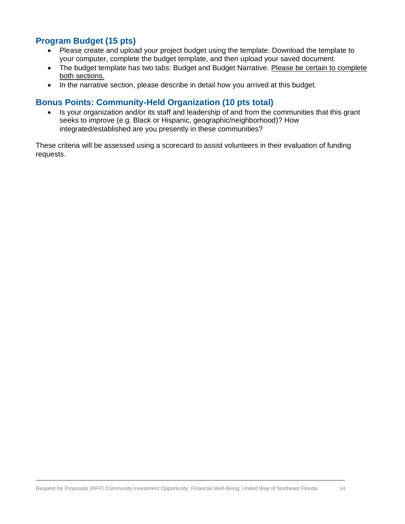### **Program Budget (15 pts)**

- Please create and upload your project budget using the template. Download the template to your computer, complete the budget template, and then upload your saved document.
- The budget template has two tabs: Budget and Budget Narrative. Please be certain to complete both sections.
- In the narrative section, please describe in detail how you arrived at this budget.

### **Bonus Points: Community-Held Organization (10 pts total)**

• Is your organization and/or its staff and leadership of and from the communities that this grant seeks to improve (e.g. Black or Hispanic, geographic/neighborhood)? How integrated/established are you presently in these communities?

These criteria will be assessed using a scorecard to assist volunteers in their evaluation of funding requests.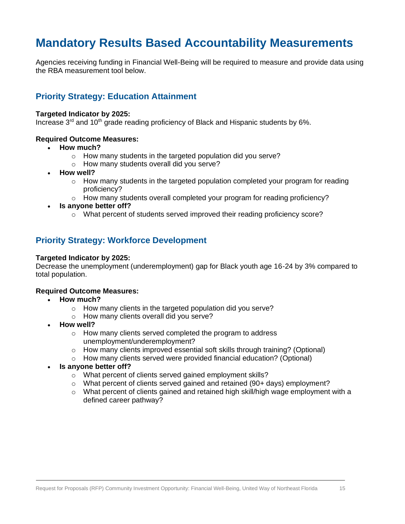## **Mandatory Results Based Accountability Measurements**

Agencies receiving funding in Financial Well-Being will be required to measure and provide data using the RBA measurement tool below.

#### **Priority Strategy: Education Attainment**

#### **Targeted Indicator by 2025:**

Increase  $3<sup>rd</sup>$  and 10<sup>th</sup> grade reading proficiency of Black and Hispanic students by 6%.

#### **Required Outcome Measures:**

- **How much?**
	- o How many students in the targeted population did you serve?
	- o How many students overall did you serve?
- **How well?**
	- $\circ$  How many students in the targeted population completed your program for reading proficiency?
	- $\circ$  How many students overall completed your program for reading proficiency?
- **Is anyone better off?**
	- o What percent of students served improved their reading proficiency score?

#### **Priority Strategy: Workforce Development**

#### **Targeted Indicator by 2025:**

Decrease the unemployment (underemployment) gap for Black youth age 16-24 by 3% compared to total population.

#### **Required Outcome Measures:**

- **How much?**
	- o How many clients in the targeted population did you serve?
	- o How many clients overall did you serve?
	- **How well?**
		- o How many clients served completed the program to address unemployment/underemployment?
		- $\circ$  How many clients improved essential soft skills through training? (Optional)
		- o How many clients served were provided financial education? (Optional)
- **Is anyone better off?**
	- o What percent of clients served gained employment skills?
	- $\circ$  What percent of clients served gained and retained (90+ days) employment?
	- $\circ$  What percent of clients gained and retained high skill/high wage employment with a defined career pathway?